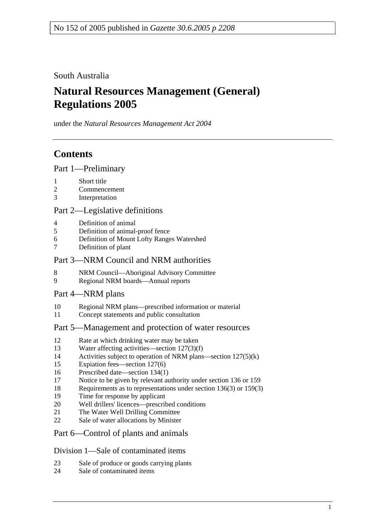South Australia

# **Natural Resources Management (General) Regulations 2005**

under the *Natural Resources Management Act 2004*

# **Contents**

Part 1—Preliminary

- 1 Short title
- 2 Commencement
- 3 Interpretation

## Part 2—Legislative definitions

- 4 Definition of animal
- 5 Definition of animal-proof fence
- 6 Definition of Mount Lofty Ranges Watershed
- 7 Definition of plant

## Part 3—NRM Council and NRM authorities

- 8 NRM Council—Aboriginal Advisory Committee
- 9 Regional NRM boards—Annual reports

## Part 4—NRM plans

- 10 Regional NRM plans—prescribed information or material
- 11 Concept statements and public consultation

## Part 5—Management and protection of water resources

- 12 Rate at which drinking water may be taken
- 13 Water affecting activities—section 127(3)(f)
- 14 Activities subject to operation of NRM plans—section 127(5)(k)
- 15 Expiation fees—section 127(6)
- 16 Prescribed date—section 134(1)
- 17 Notice to be given by relevant authority under section 136 or 159
- 18 Requirements as to representations under section 136(3) or 159(3)
- 19 Time for response by applicant
- 20 Well drillers' licences—prescribed conditions
- 21 The Water Well Drilling Committee
- 22 Sale of water allocations by Minister

## Part 6—Control of plants and animals

## Division 1—Sale of contaminated items

- 23 Sale of produce or goods carrying plants
- 24 Sale of contaminated items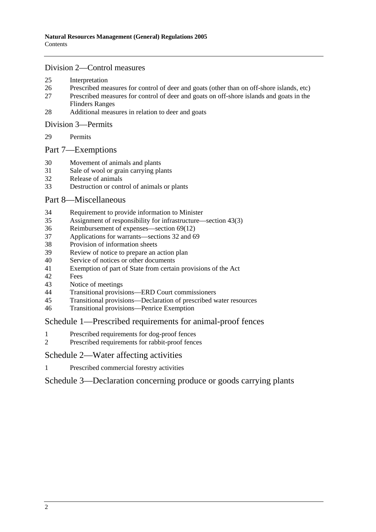#### Division 2—Control measures

- 25 Interpretation
- 26 Prescribed measures for control of deer and goats (other than on off-shore islands, etc)
- 27 Prescribed measures for control of deer and goats on off-shore islands and goats in the Flinders Ranges
- 28 Additional measures in relation to deer and goats

#### Division 3—Permits

29 Permits

#### Part 7—Exemptions

- 30 Movement of animals and plants
- 31 Sale of wool or grain carrying plants
- 32 Release of animals
- 33 Destruction or control of animals or plants

#### Part 8—Miscellaneous

- 34 Requirement to provide information to Minister
- 35 Assignment of responsibility for infrastructure—section 43(3)
- 36 Reimbursement of expenses—section 69(12)
- 37 Applications for warrants—sections 32 and 69
- 38 Provision of information sheets
- 39 Review of notice to prepare an action plan
- 40 Service of notices or other documents
- 41 Exemption of part of State from certain provisions of the Act
- 42 Fees
- 43 Notice of meetings
- 44 Transitional provisions—ERD Court commissioners
- 45 Transitional provisions—Declaration of prescribed water resources
- 46 Transitional provisions—Penrice Exemption

#### Schedule 1—Prescribed requirements for animal-proof fences

- 1 Prescribed requirements for dog-proof fences
- 2 Prescribed requirements for rabbit-proof fences

#### Schedule 2—Water affecting activities

1 Prescribed commercial forestry activities

Schedule 3—Declaration concerning produce or goods carrying plants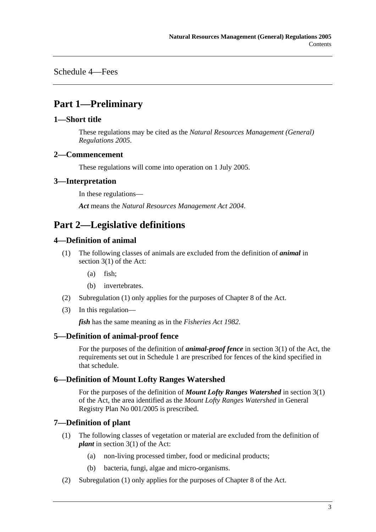Schedule 4—Fees

# **Part 1—Preliminary**

## **1—Short title**

These regulations may be cited as the *Natural Resources Management (General) Regulations 2005*.

### **2—Commencement**

These regulations will come into operation on 1 July 2005.

### **3—Interpretation**

In these regulations—

*Act* means the *Natural Resources Management Act 2004*.

# **Part 2—Legislative definitions**

## **4—Definition of animal**

- (1) The following classes of animals are excluded from the definition of *animal* in section 3(1) of the Act:
	- (a) fish;
	- (b) invertebrates.
- (2) Subregulation (1) only applies for the purposes of Chapter 8 of the Act.
- (3) In this regulation—

*fish* has the same meaning as in the *Fisheries Act 1982*.

## **5—Definition of animal-proof fence**

For the purposes of the definition of *animal-proof fence* in section 3(1) of the Act, the requirements set out in Schedule 1 are prescribed for fences of the kind specified in that schedule.

## **6—Definition of Mount Lofty Ranges Watershed**

For the purposes of the definition of *Mount Lofty Ranges Watershed* in section 3(1) of the Act, the area identified as the *Mount Lofty Ranges Watershed* in General Registry Plan No 001/2005 is prescribed.

## **7—Definition of plant**

- (1) The following classes of vegetation or material are excluded from the definition of *plant* in section 3(1) of the Act:
	- (a) non-living processed timber, food or medicinal products;
	- (b) bacteria, fungi, algae and micro-organisms.
- (2) Subregulation (1) only applies for the purposes of Chapter 8 of the Act.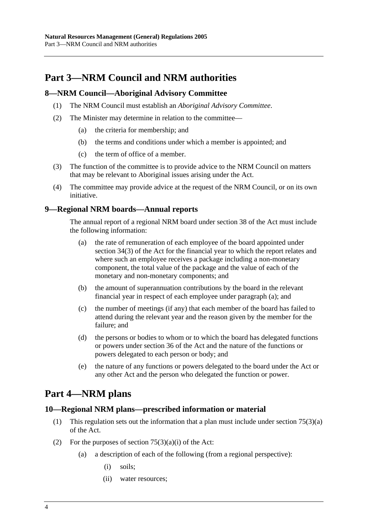# **Part 3—NRM Council and NRM authorities**

## **8—NRM Council—Aboriginal Advisory Committee**

- (1) The NRM Council must establish an *Aboriginal Advisory Committee*.
- (2) The Minister may determine in relation to the committee—
	- (a) the criteria for membership; and
	- (b) the terms and conditions under which a member is appointed; and
	- (c) the term of office of a member.
- (3) The function of the committee is to provide advice to the NRM Council on matters that may be relevant to Aboriginal issues arising under the Act.
- (4) The committee may provide advice at the request of the NRM Council, or on its own initiative.

## **9—Regional NRM boards—Annual reports**

The annual report of a regional NRM board under section 38 of the Act must include the following information:

- (a) the rate of remuneration of each employee of the board appointed under section 34(3) of the Act for the financial year to which the report relates and where such an employee receives a package including a non-monetary component, the total value of the package and the value of each of the monetary and non-monetary components; and
- (b) the amount of superannuation contributions by the board in the relevant financial year in respect of each employee under paragraph (a); and
- (c) the number of meetings (if any) that each member of the board has failed to attend during the relevant year and the reason given by the member for the failure; and
- (d) the persons or bodies to whom or to which the board has delegated functions or powers under section 36 of the Act and the nature of the functions or powers delegated to each person or body; and
- (e) the nature of any functions or powers delegated to the board under the Act or any other Act and the person who delegated the function or power.

# **Part 4—NRM plans**

## **10—Regional NRM plans—prescribed information or material**

- (1) This regulation sets out the information that a plan must include under section 75(3)(a) of the Act.
- (2) For the purposes of section  $75(3)(a)(i)$  of the Act:
	- (a) a description of each of the following (from a regional perspective):
		- (i) soils;
		- (ii) water resources;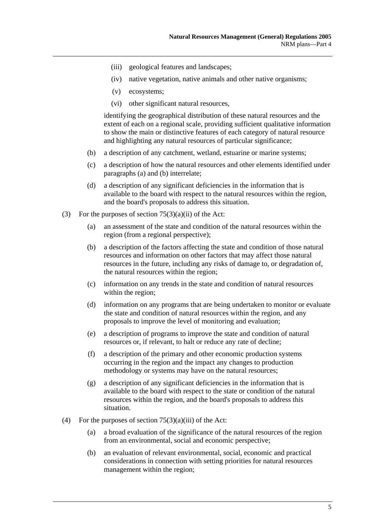- (iii) geological features and landscapes;
- (iv) native vegetation, native animals and other native organisms;
- (v) ecosystems;
- (vi) other significant natural resources,

identifying the geographical distribution of these natural resources and the extent of each on a regional scale, providing sufficient qualitative information to show the main or distinctive features of each category of natural resource and highlighting any natural resources of particular significance;

- (b) a description of any catchment, wetland, estuarine or marine systems;
- (c) a description of how the natural resources and other elements identified under paragraphs (a) and (b) interrelate;
- (d) a description of any significant deficiencies in the information that is available to the board with respect to the natural resources within the region, and the board's proposals to address this situation.
- (3) For the purposes of section  $75(3)(a)(ii)$  of the Act:
	- (a) an assessment of the state and condition of the natural resources within the region (from a regional perspective);
	- (b) a description of the factors affecting the state and condition of those natural resources and information on other factors that may affect those natural resources in the future, including any risks of damage to, or degradation of, the natural resources within the region;
	- (c) information on any trends in the state and condition of natural resources within the region;
	- (d) information on any programs that are being undertaken to monitor or evaluate the state and condition of natural resources within the region, and any proposals to improve the level of monitoring and evaluation;
	- (e) a description of programs to improve the state and condition of natural resources or, if relevant, to halt or reduce any rate of decline;
	- (f) a description of the primary and other economic production systems occurring in the region and the impact any changes to production methodology or systems may have on the natural resources;
	- (g) a description of any significant deficiencies in the information that is available to the board with respect to the state or condition of the natural resources within the region, and the board's proposals to address this situation.
- (4) For the purposes of section  $75(3)(a)(iii)$  of the Act:
	- (a) a broad evaluation of the significance of the natural resources of the region from an environmental, social and economic perspective;
	- (b) an evaluation of relevant environmental, social, economic and practical considerations in connection with setting priorities for natural resources management within the region;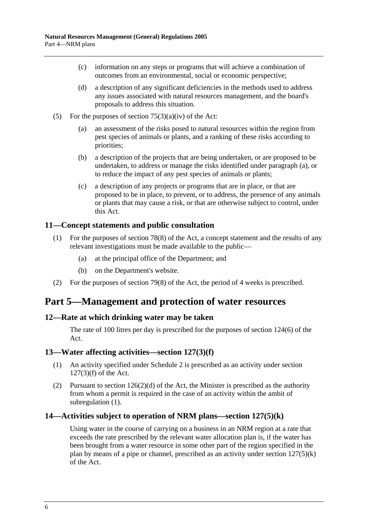- (c) information on any steps or programs that will achieve a combination of outcomes from an environmental, social or economic perspective;
- (d) a description of any significant deficiencies in the methods used to address any issues associated with natural resources management, and the board's proposals to address this situation.
- (5) For the purposes of section  $75(3)(a)(iv)$  of the Act:
	- (a) an assessment of the risks posed to natural resources within the region from pest species of animals or plants, and a ranking of these risks according to priorities;
	- (b) a description of the projects that are being undertaken, or are proposed to be undertaken, to address or manage the risks identified under paragraph (a), or to reduce the impact of any pest species of animals or plants;
	- (c) a description of any projects or programs that are in place, or that are proposed to be in place, to prevent, or to address, the presence of any animals or plants that may cause a risk, or that are otherwise subject to control, under this Act.

### **11—Concept statements and public consultation**

- (1) For the purposes of section 78(8) of the Act, a concept statement and the results of any relevant investigations must be made available to the public—
	- (a) at the principal office of the Department; and
	- (b) on the Department's website.
- (2) For the purposes of section 79(8) of the Act, the period of 4 weeks is prescribed.

## **Part 5—Management and protection of water resources**

#### **12—Rate at which drinking water may be taken**

The rate of 100 litres per day is prescribed for the purposes of section 124(6) of the Act.

#### **13—Water affecting activities—section 127(3)(f)**

- (1) An activity specified under Schedule 2 is prescribed as an activity under section 127(3)(f) of the Act.
- (2) Pursuant to section  $126(2)(d)$  of the Act, the Minister is prescribed as the authority from whom a permit is required in the case of an activity within the ambit of subregulation (1).

#### **14—Activities subject to operation of NRM plans—section 127(5)(k)**

Using water in the course of carrying on a business in an NRM region at a rate that exceeds the rate prescribed by the relevant water allocation plan is, if the water has been brought from a water resource in some other part of the region specified in the plan by means of a pipe or channel, prescribed as an activity under section 127(5)(k) of the Act.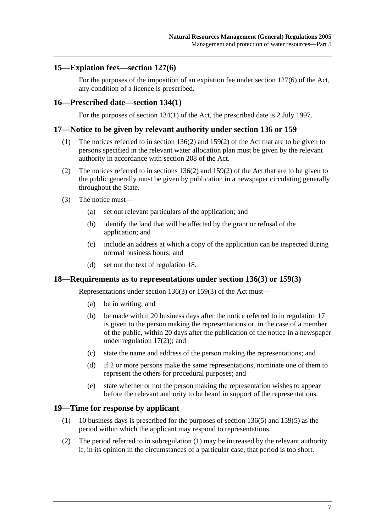### **15—Expiation fees—section 127(6)**

For the purposes of the imposition of an expiation fee under section 127(6) of the Act, any condition of a licence is prescribed.

#### **16—Prescribed date—section 134(1)**

For the purposes of section 134(1) of the Act, the prescribed date is 2 July 1997.

#### **17—Notice to be given by relevant authority under section 136 or 159**

- (1) The notices referred to in section 136(2) and 159(2) of the Act that are to be given to persons specified in the relevant water allocation plan must be given by the relevant authority in accordance with section 208 of the Act.
- (2) The notices referred to in sections 136(2) and 159(2) of the Act that are to be given to the public generally must be given by publication in a newspaper circulating generally throughout the State.
- (3) The notice must—
	- (a) set out relevant particulars of the application; and
	- (b) identify the land that will be affected by the grant or refusal of the application; and
	- (c) include an address at which a copy of the application can be inspected during normal business hours; and
	- (d) set out the text of regulation 18.

#### **18—Requirements as to representations under section 136(3) or 159(3)**

Representations under section 136(3) or 159(3) of the Act must—

- (a) be in writing; and
- (b) be made within 20 business days after the notice referred to in regulation 17 is given to the person making the representations or, in the case of a member of the public, within 20 days after the publication of the notice in a newspaper under regulation 17(2)); and
- (c) state the name and address of the person making the representations; and
- (d) if 2 or more persons make the same representations, nominate one of them to represent the others for procedural purposes; and
- (e) state whether or not the person making the representation wishes to appear before the relevant authority to be heard in support of the representations.

#### **19—Time for response by applicant**

- (1) 10 business days is prescribed for the purposes of section 136(5) and 159(5) as the period within which the applicant may respond to representations.
- (2) The period referred to in subregulation (1) may be increased by the relevant authority if, in its opinion in the circumstances of a particular case, that period is too short.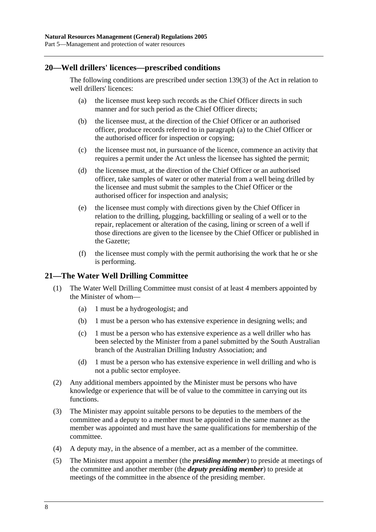### **20—Well drillers' licences—prescribed conditions**

The following conditions are prescribed under section 139(3) of the Act in relation to well drillers' licences:

- (a) the licensee must keep such records as the Chief Officer directs in such manner and for such period as the Chief Officer directs;
- (b) the licensee must, at the direction of the Chief Officer or an authorised officer, produce records referred to in paragraph (a) to the Chief Officer or the authorised officer for inspection or copying;
- (c) the licensee must not, in pursuance of the licence, commence an activity that requires a permit under the Act unless the licensee has sighted the permit;
- (d) the licensee must, at the direction of the Chief Officer or an authorised officer, take samples of water or other material from a well being drilled by the licensee and must submit the samples to the Chief Officer or the authorised officer for inspection and analysis;
- (e) the licensee must comply with directions given by the Chief Officer in relation to the drilling, plugging, backfilling or sealing of a well or to the repair, replacement or alteration of the casing, lining or screen of a well if those directions are given to the licensee by the Chief Officer or published in the Gazette;
- (f) the licensee must comply with the permit authorising the work that he or she is performing.

## **21—The Water Well Drilling Committee**

- (1) The Water Well Drilling Committee must consist of at least 4 members appointed by the Minister of whom—
	- (a) 1 must be a hydrogeologist; and
	- (b) 1 must be a person who has extensive experience in designing wells; and
	- (c) 1 must be a person who has extensive experience as a well driller who has been selected by the Minister from a panel submitted by the South Australian branch of the Australian Drilling Industry Association; and
	- (d) 1 must be a person who has extensive experience in well drilling and who is not a public sector employee.
- (2) Any additional members appointed by the Minister must be persons who have knowledge or experience that will be of value to the committee in carrying out its functions.
- (3) The Minister may appoint suitable persons to be deputies to the members of the committee and a deputy to a member must be appointed in the same manner as the member was appointed and must have the same qualifications for membership of the committee.
- (4) A deputy may, in the absence of a member, act as a member of the committee.
- (5) The Minister must appoint a member (the *presiding member*) to preside at meetings of the committee and another member (the *deputy presiding member*) to preside at meetings of the committee in the absence of the presiding member.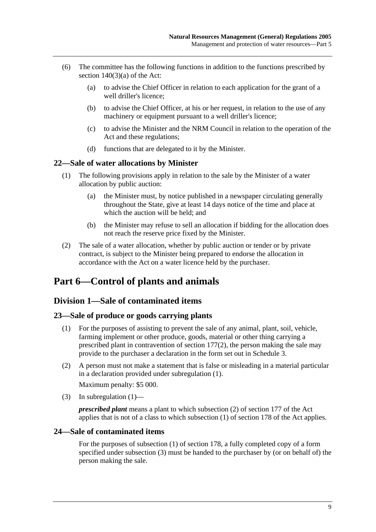- (6) The committee has the following functions in addition to the functions prescribed by section  $140(3)(a)$  of the Act:
	- (a) to advise the Chief Officer in relation to each application for the grant of a well driller's licence;
	- (b) to advise the Chief Officer, at his or her request, in relation to the use of any machinery or equipment pursuant to a well driller's licence;
	- (c) to advise the Minister and the NRM Council in relation to the operation of the Act and these regulations;
	- (d) functions that are delegated to it by the Minister.

### **22—Sale of water allocations by Minister**

- (1) The following provisions apply in relation to the sale by the Minister of a water allocation by public auction:
	- (a) the Minister must, by notice published in a newspaper circulating generally throughout the State, give at least 14 days notice of the time and place at which the auction will be held; and
	- (b) the Minister may refuse to sell an allocation if bidding for the allocation does not reach the reserve price fixed by the Minister.
- (2) The sale of a water allocation, whether by public auction or tender or by private contract, is subject to the Minister being prepared to endorse the allocation in accordance with the Act on a water licence held by the purchaser.

# **Part 6—Control of plants and animals**

## **Division 1—Sale of contaminated items**

## **23—Sale of produce or goods carrying plants**

- (1) For the purposes of assisting to prevent the sale of any animal, plant, soil, vehicle, farming implement or other produce, goods, material or other thing carrying a prescribed plant in contravention of section 177(2), the person making the sale may provide to the purchaser a declaration in the form set out in Schedule 3.
- (2) A person must not make a statement that is false or misleading in a material particular in a declaration provided under subregulation (1).

Maximum penalty: \$5 000.

(3) In subregulation  $(1)$ —

*prescribed plant* means a plant to which subsection (2) of section 177 of the Act applies that is not of a class to which subsection (1) of section 178 of the Act applies.

## **24—Sale of contaminated items**

For the purposes of subsection (1) of section 178, a fully completed copy of a form specified under subsection (3) must be handed to the purchaser by (or on behalf of) the person making the sale.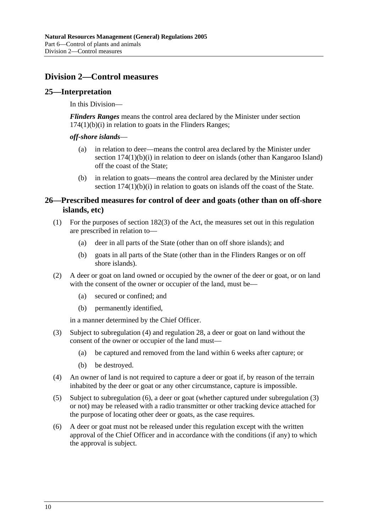## **Division 2—Control measures**

### **25—Interpretation**

In this Division—

*Flinders Ranges* means the control area declared by the Minister under section  $174(1)(b)(i)$  in relation to goats in the Flinders Ranges;

#### *off-shore islands*—

- (a) in relation to deer—means the control area declared by the Minister under section 174(1)(b)(i) in relation to deer on islands (other than Kangaroo Island) off the coast of the State;
- (b) in relation to goats—means the control area declared by the Minister under section 174(1)(b)(i) in relation to goats on islands off the coast of the State.

### **26—Prescribed measures for control of deer and goats (other than on off-shore islands, etc)**

- (1) For the purposes of section 182(3) of the Act, the measures set out in this regulation are prescribed in relation to—
	- (a) deer in all parts of the State (other than on off shore islands); and
	- (b) goats in all parts of the State (other than in the Flinders Ranges or on off shore islands).
- (2) A deer or goat on land owned or occupied by the owner of the deer or goat, or on land with the consent of the owner or occupier of the land, must be—
	- (a) secured or confined; and
	- (b) permanently identified,

in a manner determined by the Chief Officer.

- (3) Subject to subregulation (4) and regulation 28, a deer or goat on land without the consent of the owner or occupier of the land must—
	- (a) be captured and removed from the land within 6 weeks after capture; or
	- (b) be destroyed.
- (4) An owner of land is not required to capture a deer or goat if, by reason of the terrain inhabited by the deer or goat or any other circumstance, capture is impossible.
- (5) Subject to subregulation (6), a deer or goat (whether captured under subregulation (3) or not) may be released with a radio transmitter or other tracking device attached for the purpose of locating other deer or goats, as the case requires.
- (6) A deer or goat must not be released under this regulation except with the written approval of the Chief Officer and in accordance with the conditions (if any) to which the approval is subject.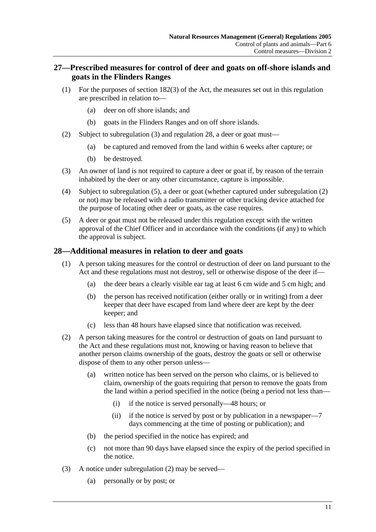## **27—Prescribed measures for control of deer and goats on off-shore islands and goats in the Flinders Ranges**

- (1) For the purposes of section 182(3) of the Act, the measures set out in this regulation are prescribed in relation to—
	- (a) deer on off shore islands; and
	- (b) goats in the Flinders Ranges and on off shore islands.
- (2) Subject to subregulation (3) and regulation 28, a deer or goat must—
	- (a) be captured and removed from the land within 6 weeks after capture; or
	- (b) be destroyed.
- (3) An owner of land is not required to capture a deer or goat if, by reason of the terrain inhabited by the deer or any other circumstance, capture is impossible.
- (4) Subject to subregulation (5), a deer or goat (whether captured under subregulation (2) or not) may be released with a radio transmitter or other tracking device attached for the purpose of locating other deer or goats, as the case requires.
- (5) A deer or goat must not be released under this regulation except with the written approval of the Chief Officer and in accordance with the conditions (if any) to which the approval is subject.

## **28—Additional measures in relation to deer and goats**

- (1) A person taking measures for the control or destruction of deer on land pursuant to the Act and these regulations must not destroy, sell or otherwise dispose of the deer if—
	- (a) the deer bears a clearly visible ear tag at least 6 cm wide and 5 cm high; and
	- (b) the person has received notification (either orally or in writing) from a deer keeper that deer have escaped from land where deer are kept by the deer keeper; and
	- (c) less than 48 hours have elapsed since that notification was received.
- (2) A person taking measures for the control or destruction of goats on land pursuant to the Act and these regulations must not, knowing or having reason to believe that another person claims ownership of the goats, destroy the goats or sell or otherwise dispose of them to any other person unless—
	- (a) written notice has been served on the person who claims, or is believed to claim, ownership of the goats requiring that person to remove the goats from the land within a period specified in the notice (being a period not less than—
		- (i) if the notice is served personally—48 hours; or
		- (ii) if the notice is served by post or by publication in a newspaper—7 days commencing at the time of posting or publication); and
	- (b) the period specified in the notice has expired; and
	- (c) not more than 90 days have elapsed since the expiry of the period specified in the notice.
- (3) A notice under subregulation (2) may be served—
	- (a) personally or by post; or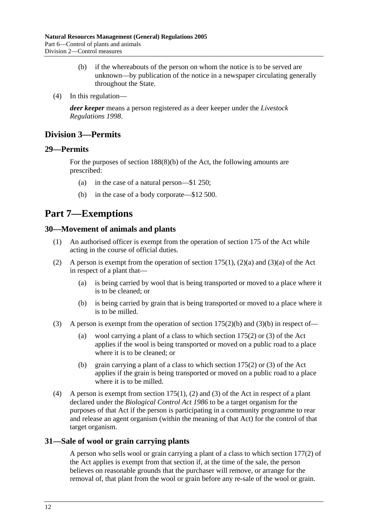- (b) if the whereabouts of the person on whom the notice is to be served are unknown—by publication of the notice in a newspaper circulating generally throughout the State.
- (4) In this regulation—

*deer keeper* means a person registered as a deer keeper under the *Livestock Regulations 1998*.

## **Division 3—Permits**

### **29—Permits**

For the purposes of section 188(8)(b) of the Act, the following amounts are prescribed:

- (a) in the case of a natural person—\$1 250;
- (b) in the case of a body corporate—\$12 500.

## **Part 7—Exemptions**

### **30—Movement of animals and plants**

- (1) An authorised officer is exempt from the operation of section 175 of the Act while acting in the course of official duties.
- (2) A person is exempt from the operation of section  $175(1)$ ,  $(2)(a)$  and  $(3)(a)$  of the Act in respect of a plant that—
	- (a) is being carried by wool that is being transported or moved to a place where it is to be cleaned; or
	- (b) is being carried by grain that is being transported or moved to a place where it is to be milled.
- (3) A person is exempt from the operation of section  $175(2)(b)$  and  $(3)(b)$  in respect of—
	- (a) wool carrying a plant of a class to which section 175(2) or (3) of the Act applies if the wool is being transported or moved on a public road to a place where it is to be cleaned; or
	- (b) grain carrying a plant of a class to which section 175(2) or (3) of the Act applies if the grain is being transported or moved on a public road to a place where it is to be milled.
- (4) A person is exempt from section 175(1), (2) and (3) of the Act in respect of a plant declared under the *Biological Control Act 1986* to be a target organism for the purposes of that Act if the person is participating in a community programme to rear and release an agent organism (within the meaning of that Act) for the control of that target organism.

## **31—Sale of wool or grain carrying plants**

A person who sells wool or grain carrying a plant of a class to which section 177(2) of the Act applies is exempt from that section if, at the time of the sale, the person believes on reasonable grounds that the purchaser will remove, or arrange for the removal of, that plant from the wool or grain before any re-sale of the wool or grain.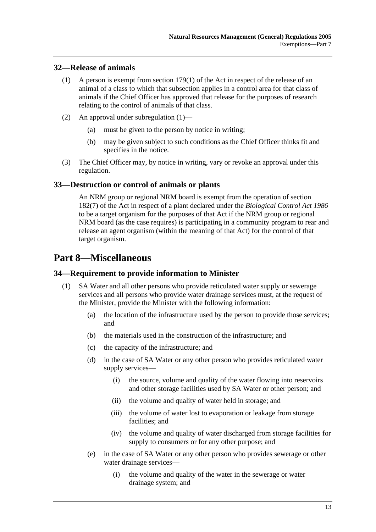## **32—Release of animals**

- (1) A person is exempt from section 179(1) of the Act in respect of the release of an animal of a class to which that subsection applies in a control area for that class of animals if the Chief Officer has approved that release for the purposes of research relating to the control of animals of that class.
- (2) An approval under subregulation (1)—
	- (a) must be given to the person by notice in writing;
	- (b) may be given subject to such conditions as the Chief Officer thinks fit and specifies in the notice.
- (3) The Chief Officer may, by notice in writing, vary or revoke an approval under this regulation.

## **33—Destruction or control of animals or plants**

An NRM group or regional NRM board is exempt from the operation of section 182(7) of the Act in respect of a plant declared under the *Biological Control Act 1986* to be a target organism for the purposes of that Act if the NRM group or regional NRM board (as the case requires) is participating in a community program to rear and release an agent organism (within the meaning of that Act) for the control of that target organism.

# **Part 8—Miscellaneous**

## **34—Requirement to provide information to Minister**

- (1) SA Water and all other persons who provide reticulated water supply or sewerage services and all persons who provide water drainage services must, at the request of the Minister, provide the Minister with the following information:
	- (a) the location of the infrastructure used by the person to provide those services; and
	- (b) the materials used in the construction of the infrastructure; and
	- (c) the capacity of the infrastructure; and
	- (d) in the case of SA Water or any other person who provides reticulated water supply services—
		- (i) the source, volume and quality of the water flowing into reservoirs and other storage facilities used by SA Water or other person; and
		- (ii) the volume and quality of water held in storage; and
		- (iii) the volume of water lost to evaporation or leakage from storage facilities; and
		- (iv) the volume and quality of water discharged from storage facilities for supply to consumers or for any other purpose; and
	- (e) in the case of SA Water or any other person who provides sewerage or other water drainage services—
		- (i) the volume and quality of the water in the sewerage or water drainage system; and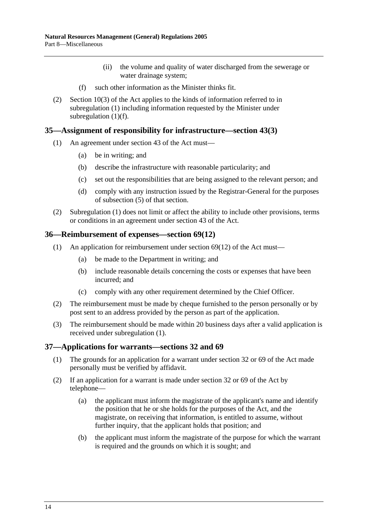- (ii) the volume and quality of water discharged from the sewerage or water drainage system;
- (f) such other information as the Minister thinks fit.
- (2) Section 10(3) of the Act applies to the kinds of information referred to in subregulation (1) including information requested by the Minister under subregulation  $(1)(f)$ .

#### **35—Assignment of responsibility for infrastructure—section 43(3)**

- (1) An agreement under section 43 of the Act must—
	- (a) be in writing; and
	- (b) describe the infrastructure with reasonable particularity; and
	- (c) set out the responsibilities that are being assigned to the relevant person; and
	- (d) comply with any instruction issued by the Registrar-General for the purposes of subsection (5) of that section.
- (2) Subregulation (1) does not limit or affect the ability to include other provisions, terms or conditions in an agreement under section 43 of the Act.

#### **36—Reimbursement of expenses—section 69(12)**

- (1) An application for reimbursement under section 69(12) of the Act must—
	- (a) be made to the Department in writing; and
	- (b) include reasonable details concerning the costs or expenses that have been incurred; and
	- (c) comply with any other requirement determined by the Chief Officer.
- (2) The reimbursement must be made by cheque furnished to the person personally or by post sent to an address provided by the person as part of the application.
- (3) The reimbursement should be made within 20 business days after a valid application is received under subregulation (1).

#### **37—Applications for warrants—sections 32 and 69**

- (1) The grounds for an application for a warrant under section 32 or 69 of the Act made personally must be verified by affidavit.
- (2) If an application for a warrant is made under section 32 or 69 of the Act by telephone—
	- (a) the applicant must inform the magistrate of the applicant's name and identify the position that he or she holds for the purposes of the Act, and the magistrate, on receiving that information, is entitled to assume, without further inquiry, that the applicant holds that position; and
	- (b) the applicant must inform the magistrate of the purpose for which the warrant is required and the grounds on which it is sought; and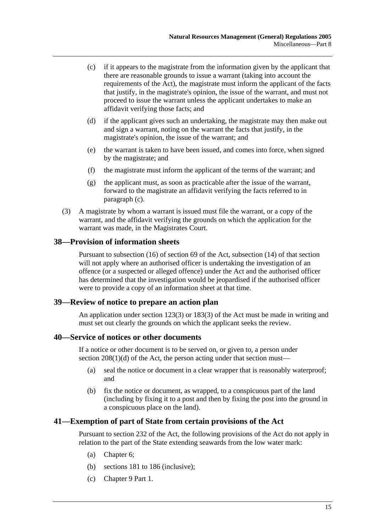- (c) if it appears to the magistrate from the information given by the applicant that there are reasonable grounds to issue a warrant (taking into account the requirements of the Act), the magistrate must inform the applicant of the facts that justify, in the magistrate's opinion, the issue of the warrant, and must not proceed to issue the warrant unless the applicant undertakes to make an affidavit verifying those facts; and
- (d) if the applicant gives such an undertaking, the magistrate may then make out and sign a warrant, noting on the warrant the facts that justify, in the magistrate's opinion, the issue of the warrant; and
- (e) the warrant is taken to have been issued, and comes into force, when signed by the magistrate; and
- (f) the magistrate must inform the applicant of the terms of the warrant; and
- (g) the applicant must, as soon as practicable after the issue of the warrant, forward to the magistrate an affidavit verifying the facts referred to in paragraph (c).
- (3) A magistrate by whom a warrant is issued must file the warrant, or a copy of the warrant, and the affidavit verifying the grounds on which the application for the warrant was made, in the Magistrates Court.

### **38—Provision of information sheets**

Pursuant to subsection (16) of section 69 of the Act, subsection (14) of that section will not apply where an authorised officer is undertaking the investigation of an offence (or a suspected or alleged offence) under the Act and the authorised officer has determined that the investigation would be jeopardised if the authorised officer were to provide a copy of an information sheet at that time.

#### **39—Review of notice to prepare an action plan**

An application under section 123(3) or 183(3) of the Act must be made in writing and must set out clearly the grounds on which the applicant seeks the review.

#### **40—Service of notices or other documents**

If a notice or other document is to be served on, or given to, a person under section  $208(1)(d)$  of the Act, the person acting under that section must—

- (a) seal the notice or document in a clear wrapper that is reasonably waterproof; and
- (b) fix the notice or document, as wrapped, to a conspicuous part of the land (including by fixing it to a post and then by fixing the post into the ground in a conspicuous place on the land).

#### **41—Exemption of part of State from certain provisions of the Act**

Pursuant to section 232 of the Act, the following provisions of the Act do not apply in relation to the part of the State extending seawards from the low water mark:

- (a) Chapter 6;
- (b) sections 181 to 186 (inclusive);
- (c) Chapter 9 Part 1.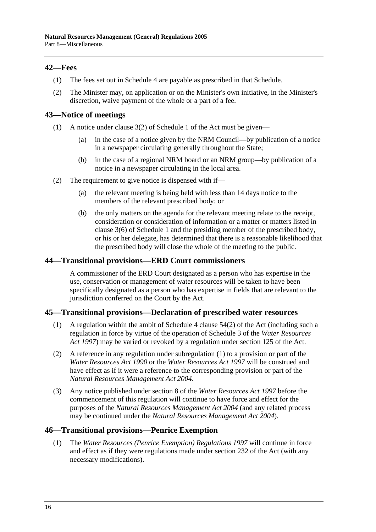## **42—Fees**

- (1) The fees set out in Schedule 4 are payable as prescribed in that Schedule.
- (2) The Minister may, on application or on the Minister's own initiative, in the Minister's discretion, waive payment of the whole or a part of a fee.

### **43—Notice of meetings**

- (1) A notice under clause 3(2) of Schedule 1 of the Act must be given—
	- (a) in the case of a notice given by the NRM Council—by publication of a notice in a newspaper circulating generally throughout the State;
	- (b) in the case of a regional NRM board or an NRM group—by publication of a notice in a newspaper circulating in the local area.
- (2) The requirement to give notice is dispensed with if—
	- (a) the relevant meeting is being held with less than 14 days notice to the members of the relevant prescribed body; or
	- (b) the only matters on the agenda for the relevant meeting relate to the receipt, consideration or consideration of information or a matter or matters listed in clause 3(6) of Schedule 1 and the presiding member of the prescribed body, or his or her delegate, has determined that there is a reasonable likelihood that the prescribed body will close the whole of the meeting to the public.

### **44—Transitional provisions—ERD Court commissioners**

A commissioner of the ERD Court designated as a person who has expertise in the use, conservation or management of water resources will be taken to have been specifically designated as a person who has expertise in fields that are relevant to the jurisdiction conferred on the Court by the Act.

#### **45—Transitional provisions—Declaration of prescribed water resources**

- (1) A regulation within the ambit of Schedule 4 clause 54(2) of the Act (including such a regulation in force by virtue of the operation of Schedule 3 of the *Water Resources Act 1997*) may be varied or revoked by a regulation under section 125 of the Act.
- (2) A reference in any regulation under subregulation (1) to a provision or part of the *Water Resources Act 1990* or the *Water Resources Act 1997* will be construed and have effect as if it were a reference to the corresponding provision or part of the *Natural Resources Management Act 2004*.
- (3) Any notice published under section 8 of the *Water Resources Act 1997* before the commencement of this regulation will continue to have force and effect for the purposes of the *Natural Resources Management Act 2004* (and any related process may be continued under the *Natural Resources Management Act 2004*).

#### **46—Transitional provisions—Penrice Exemption**

 (1) The *Water Resources (Penrice Exemption) Regulations 1997* will continue in force and effect as if they were regulations made under section 232 of the Act (with any necessary modifications).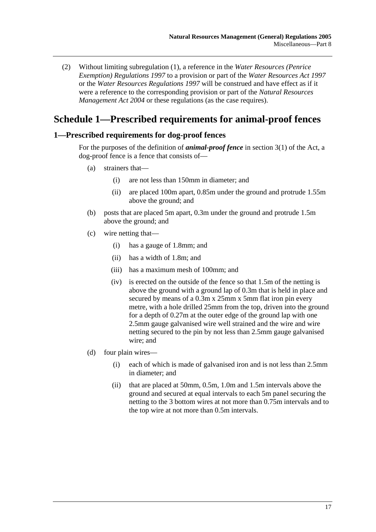(2) Without limiting subregulation (1), a reference in the *Water Resources (Penrice Exemption) Regulations 1997* to a provision or part of the *Water Resources Act 1997* or the *Water Resources Regulations 1997* will be construed and have effect as if it were a reference to the corresponding provision or part of the *Natural Resources Management Act 2004* or these regulations (as the case requires).

## **Schedule 1—Prescribed requirements for animal-proof fences**

### **1—Prescribed requirements for dog-proof fences**

For the purposes of the definition of *animal-proof fence* in section 3(1) of the Act, a dog-proof fence is a fence that consists of—

- (a) strainers that—
	- (i) are not less than 150mm in diameter; and
	- (ii) are placed 100m apart, 0.85m under the ground and protrude 1.55m above the ground; and
- (b) posts that are placed 5m apart, 0.3m under the ground and protrude 1.5m above the ground; and
- (c) wire netting that—
	- (i) has a gauge of 1.8mm; and
	- (ii) has a width of 1.8m; and
	- (iii) has a maximum mesh of 100mm; and
	- (iv) is erected on the outside of the fence so that 1.5m of the netting is above the ground with a ground lap of 0.3m that is held in place and secured by means of a  $0.3$ m x  $25$ mm x 5mm flat iron pin every metre, with a hole drilled 25mm from the top, driven into the ground for a depth of 0.27m at the outer edge of the ground lap with one 2.5mm gauge galvanised wire well strained and the wire and wire netting secured to the pin by not less than 2.5mm gauge galvanised wire; and
- (d) four plain wires—
	- (i) each of which is made of galvanised iron and is not less than 2.5mm in diameter; and
	- (ii) that are placed at 50mm, 0.5m, 1.0m and 1.5m intervals above the ground and secured at equal intervals to each 5m panel securing the netting to the 3 bottom wires at not more than 0.75m intervals and to the top wire at not more than 0.5m intervals.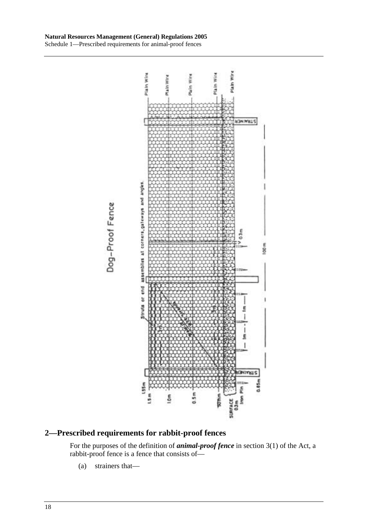

## **2—Prescribed requirements for rabbit-proof fences**

For the purposes of the definition of *animal-proof fence* in section 3(1) of the Act, a rabbit-proof fence is a fence that consists of—

(a) strainers that—

Dog-Proof Fence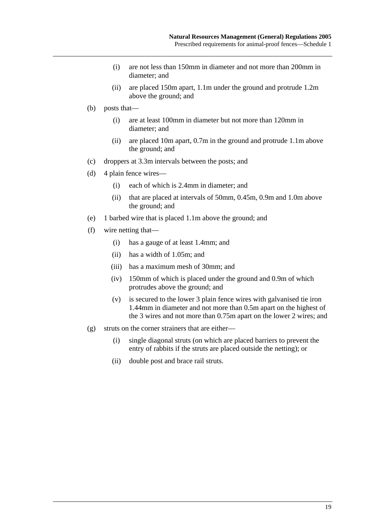- (i) are not less than 150mm in diameter and not more than 200mm in diameter; and
- (ii) are placed 150m apart, 1.1m under the ground and protrude 1.2m above the ground; and
- (b) posts that—
	- (i) are at least 100mm in diameter but not more than 120mm in diameter; and
	- (ii) are placed 10m apart, 0.7m in the ground and protrude 1.1m above the ground; and
- (c) droppers at 3.3m intervals between the posts; and
- (d) 4 plain fence wires—
	- (i) each of which is 2.4mm in diameter; and
	- (ii) that are placed at intervals of 50mm, 0.45m, 0.9m and 1.0m above the ground; and
- (e) 1 barbed wire that is placed 1.1m above the ground; and
- (f) wire netting that—
	- (i) has a gauge of at least 1.4mm; and
	- (ii) has a width of 1.05m; and
	- (iii) has a maximum mesh of 30mm; and
	- (iv) 150mm of which is placed under the ground and 0.9m of which protrudes above the ground; and
	- (v) is secured to the lower 3 plain fence wires with galvanised tie iron 1.44mm in diameter and not more than 0.5m apart on the highest of the 3 wires and not more than 0.75m apart on the lower 2 wires; and
- (g) struts on the corner strainers that are either—
	- (i) single diagonal struts (on which are placed barriers to prevent the entry of rabbits if the struts are placed outside the netting); or
	- (ii) double post and brace rail struts.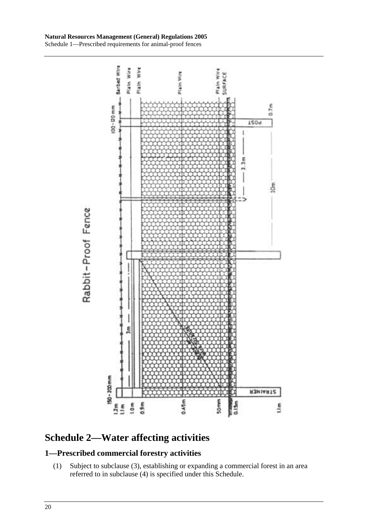

# **Schedule 2—Water affecting activities**

## **1—Prescribed commercial forestry activities**

 (1) Subject to subclause (3), establishing or expanding a commercial forest in an area referred to in subclause (4) is specified under this Schedule.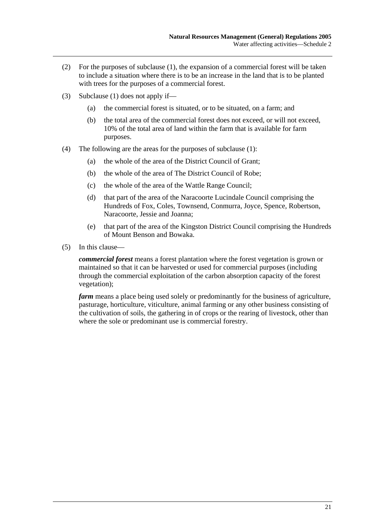- (2) For the purposes of subclause (1), the expansion of a commercial forest will be taken to include a situation where there is to be an increase in the land that is to be planted with trees for the purposes of a commercial forest.
- (3) Subclause (1) does not apply if—
	- (a) the commercial forest is situated, or to be situated, on a farm; and
	- (b) the total area of the commercial forest does not exceed, or will not exceed, 10% of the total area of land within the farm that is available for farm purposes.
- (4) The following are the areas for the purposes of subclause (1):
	- (a) the whole of the area of the District Council of Grant;
	- (b) the whole of the area of The District Council of Robe;
	- (c) the whole of the area of the Wattle Range Council;
	- (d) that part of the area of the Naracoorte Lucindale Council comprising the Hundreds of Fox, Coles, Townsend, Conmurra, Joyce, Spence, Robertson, Naracoorte, Jessie and Joanna;
	- (e) that part of the area of the Kingston District Council comprising the Hundreds of Mount Benson and Bowaka.
- (5) In this clause—

*commercial forest* means a forest plantation where the forest vegetation is grown or maintained so that it can be harvested or used for commercial purposes (including through the commercial exploitation of the carbon absorption capacity of the forest vegetation);

*farm* means a place being used solely or predominantly for the business of agriculture, pasturage, horticulture, viticulture, animal farming or any other business consisting of the cultivation of soils, the gathering in of crops or the rearing of livestock, other than where the sole or predominant use is commercial forestry.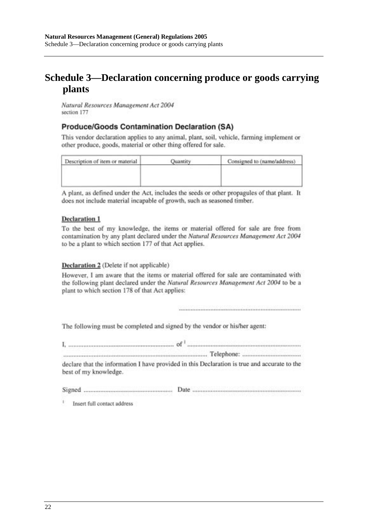# **Schedule 3—Declaration concerning produce or goods carrying plants**

Natural Resources Management Act 2004 section 177

### **Produce/Goods Contamination Declaration (SA)**

This vendor declaration applies to any animal, plant, soil, vehicle, farming implement or other produce, goods, material or other thing offered for sale.

| Description of item or material | Consigned to (name/address) |
|---------------------------------|-----------------------------|
|                                 |                             |
|                                 |                             |
|                                 |                             |

A plant, as defined under the Act, includes the seeds or other propagules of that plant. It does not include material incapable of growth, such as seasoned timber.

#### **Declaration 1**

To the best of my knowledge, the items or material offered for sale are free from contamination by any plant declared under the Natural Resources Management Act 2004 to be a plant to which section 177 of that Act applies.

#### Declaration 2 (Delete if not applicable)

However, I am aware that the items or material offered for sale are contaminated with the following plant declared under the Natural Resources Management Act 2004 to be a plant to which section 178 of that Act applies:

The following must be completed and signed by the vendor or his/her agent:

| best of my knowledge. | declare that the information I have provided in this Declaration is true and accurate to the |
|-----------------------|----------------------------------------------------------------------------------------------|
| Signed                |                                                                                              |

 $\ddot{\imath}$ Insert full contact address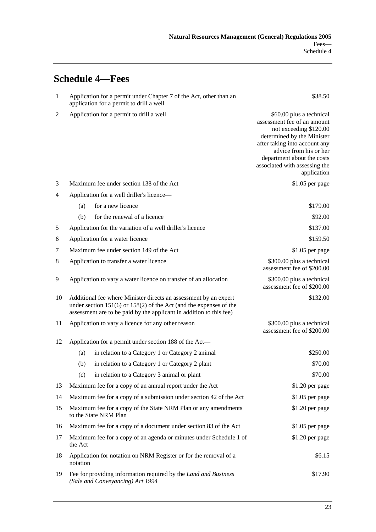# **Schedule 4—Fees**

| $\mathbf{1}$   | Application for a permit under Chapter 7 of the Act, other than an<br>application for a permit to drill a well                                                                                                    | \$38.50                                                                                                                                                                                                                                                  |
|----------------|-------------------------------------------------------------------------------------------------------------------------------------------------------------------------------------------------------------------|----------------------------------------------------------------------------------------------------------------------------------------------------------------------------------------------------------------------------------------------------------|
| $\overline{c}$ | Application for a permit to drill a well                                                                                                                                                                          | \$60.00 plus a technical<br>assessment fee of an amount<br>not exceeding \$120.00<br>determined by the Minister<br>after taking into account any<br>advice from his or her<br>department about the costs<br>associated with assessing the<br>application |
| 3              | Maximum fee under section 138 of the Act                                                                                                                                                                          | \$1.05 per page                                                                                                                                                                                                                                          |
| 4              | Application for a well driller's licence-                                                                                                                                                                         |                                                                                                                                                                                                                                                          |
|                | for a new licence<br>(a)                                                                                                                                                                                          | \$179.00                                                                                                                                                                                                                                                 |
|                | for the renewal of a licence<br>(b)                                                                                                                                                                               | \$92.00                                                                                                                                                                                                                                                  |
| 5              | Application for the variation of a well driller's licence                                                                                                                                                         | \$137.00                                                                                                                                                                                                                                                 |
| 6              | Application for a water licence                                                                                                                                                                                   | \$159.50                                                                                                                                                                                                                                                 |
| 7              | Maximum fee under section 149 of the Act                                                                                                                                                                          | \$1.05 per page                                                                                                                                                                                                                                          |
| 8              | Application to transfer a water licence                                                                                                                                                                           | \$300.00 plus a technical<br>assessment fee of \$200.00                                                                                                                                                                                                  |
| 9              | Application to vary a water licence on transfer of an allocation                                                                                                                                                  | \$300.00 plus a technical<br>assessment fee of \$200.00                                                                                                                                                                                                  |
| 10             | Additional fee where Minister directs an assessment by an expert<br>under section $151(6)$ or $158(2)$ of the Act (and the expenses of the<br>assessment are to be paid by the applicant in addition to this fee) | \$132.00                                                                                                                                                                                                                                                 |
| 11             | Application to vary a licence for any other reason                                                                                                                                                                | \$300.00 plus a technical<br>assessment fee of \$200.00                                                                                                                                                                                                  |
| 12             | Application for a permit under section 188 of the Act—                                                                                                                                                            |                                                                                                                                                                                                                                                          |
|                | in relation to a Category 1 or Category 2 animal<br>(a)                                                                                                                                                           | \$250.00                                                                                                                                                                                                                                                 |
|                | in relation to a Category 1 or Category 2 plant<br>(b)                                                                                                                                                            | \$70.00                                                                                                                                                                                                                                                  |
|                | in relation to a Category 3 animal or plant<br>(c)                                                                                                                                                                | \$70.00                                                                                                                                                                                                                                                  |
| 13             | Maximum fee for a copy of an annual report under the Act                                                                                                                                                          | \$1.20 per page                                                                                                                                                                                                                                          |
| 14             | Maximum fee for a copy of a submission under section 42 of the Act                                                                                                                                                | $$1.05$ per page                                                                                                                                                                                                                                         |
| 15             | Maximum fee for a copy of the State NRM Plan or any amendments<br>to the State NRM Plan                                                                                                                           | $$1.20$ per page                                                                                                                                                                                                                                         |
| 16             | Maximum fee for a copy of a document under section 83 of the Act                                                                                                                                                  | $$1.05$ per page                                                                                                                                                                                                                                         |
| 17             | Maximum fee for a copy of an agenda or minutes under Schedule 1 of<br>the Act                                                                                                                                     | \$1.20 per page                                                                                                                                                                                                                                          |
| 18             | Application for notation on NRM Register or for the removal of a<br>notation                                                                                                                                      | \$6.15                                                                                                                                                                                                                                                   |
| 19             | Fee for providing information required by the Land and Business<br>(Sale and Conveyancing) Act 1994                                                                                                               | \$17.90                                                                                                                                                                                                                                                  |